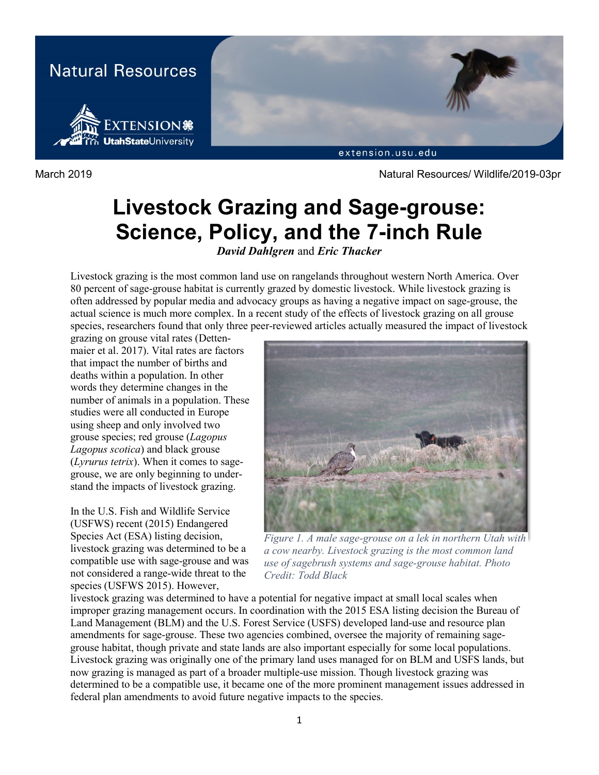

March 2019 Natural Resources/ Wildlife/2019-03pr

# **Livestock Grazing and Sage-grouse: Science, Policy, and the 7-inch Rule**

*David Dahlgren* and *Eric Thacker*

Livestock grazing is the most common land use on rangelands throughout western North America. Over 80 percent of sage-grouse habitat is currently grazed by domestic livestock. While livestock grazing is often addressed by popular media and advocacy groups as having a negative impact on sage-grouse, the actual science is much more complex. In a recent study of the effects of livestock grazing on all grouse species, researchers found that only three peer-reviewed articles actually measured the impact of livestock

grazing on grouse vital rates (Dettenmaier et al. 2017). Vital rates are factors that impact the number of births and deaths within a population. In other words they determine changes in the number of animals in a population. These studies were all conducted in Europe using sheep and only involved two grouse species; red grouse (*Lagopus Lagopus scotica*) and black grouse (*Lyrurus tetrix*). When it comes to sagegrouse, we are only beginning to understand the impacts of livestock grazing.

In the U.S. Fish and Wildlife Service (USFWS) recent (2015) Endangered Species Act (ESA) listing decision, livestock grazing was determined to be a compatible use with sage-grouse and was not considered a range-wide threat to the species (USFWS 2015). However,



*Figure 1. A male sage-grouse on a lek in northern Utah with a cow nearby. Livestock grazing is the most common land use of sagebrush systems and sage-grouse habitat. Photo Credit: Todd Black*

livestock grazing was determined to have a potential for negative impact at small local scales when improper grazing management occurs. In coordination with the 2015 ESA listing decision the Bureau of Land Management (BLM) and the U.S. Forest Service (USFS) developed land-use and resource plan amendments for sage-grouse. These two agencies combined, oversee the majority of remaining sagegrouse habitat, though private and state lands are also important especially for some local populations. Livestock grazing was originally one of the primary land uses managed for on BLM and USFS lands, but now grazing is managed as part of a broader multiple-use mission. Though livestock grazing was determined to be a compatible use, it became one of the more prominent management issues addressed in federal plan amendments to avoid future negative impacts to the species.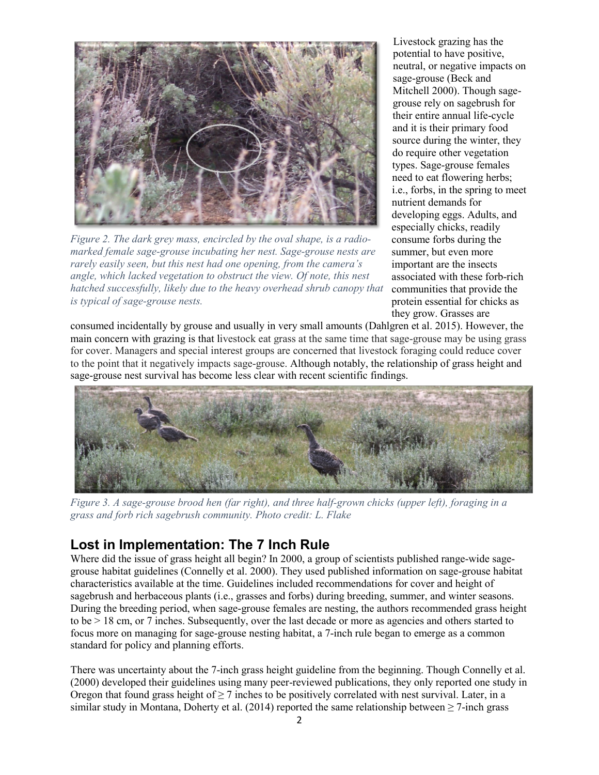

*Figure 2. The dark grey mass, encircled by the oval shape, is a radiomarked female sage-grouse incubating her nest. Sage-grouse nests are rarely easily seen, but this nest had one opening, from the camera's angle, which lacked vegetation to obstruct the view. Of note, this nest hatched successfully, likely due to the heavy overhead shrub canopy that is typical of sage-grouse nests.*

Livestock grazing has the potential to have positive, neutral, or negative impacts on sage-grouse (Beck and Mitchell 2000). Though sagegrouse rely on sagebrush for their entire annual life-cycle and it is their primary food source during the winter, they do require other vegetation types. Sage-grouse females need to eat flowering herbs; i.e., forbs, in the spring to meet nutrient demands for developing eggs. Adults, and especially chicks, readily consume forbs during the summer, but even more important are the insects associated with these forb-rich communities that provide the protein essential for chicks as they grow. Grasses are

consumed incidentally by grouse and usually in very small amounts (Dahlgren et al. 2015). However, the main concern with grazing is that livestock eat grass at the same time that sage-grouse may be using grass for cover. Managers and special interest groups are concerned that livestock foraging could reduce cover to the point that it negatively impacts sage-grouse. Although notably, the relationship of grass height and sage-grouse nest survival has become less clear with recent scientific findings.



*Figure 3. A sage-grouse brood hen (far right), and three half-grown chicks (upper left), foraging in a grass and forb rich sagebrush community. Photo credit: L. Flake*

## **Lost in Implementation: The 7 Inch Rule**

Where did the issue of grass height all begin? In 2000, a group of scientists published range-wide sagegrouse habitat guidelines (Connelly et al. 2000). They used published information on sage-grouse habitat characteristics available at the time. Guidelines included recommendations for cover and height of sagebrush and herbaceous plants (i.e., grasses and forbs) during breeding, summer, and winter seasons. During the breeding period, when sage-grouse females are nesting, the authors recommended grass height to be > 18 cm, or 7 inches. Subsequently, over the last decade or more as agencies and others started to focus more on managing for sage-grouse nesting habitat, a 7-inch rule began to emerge as a common standard for policy and planning efforts.

There was uncertainty about the 7-inch grass height guideline from the beginning. Though Connelly et al. (2000) developed their guidelines using many peer-reviewed publications, they only reported one study in Oregon that found grass height of  $\geq 7$  inches to be positively correlated with nest survival. Later, in a similar study in Montana, Doherty et al. (2014) reported the same relationship between  $\geq$  7-inch grass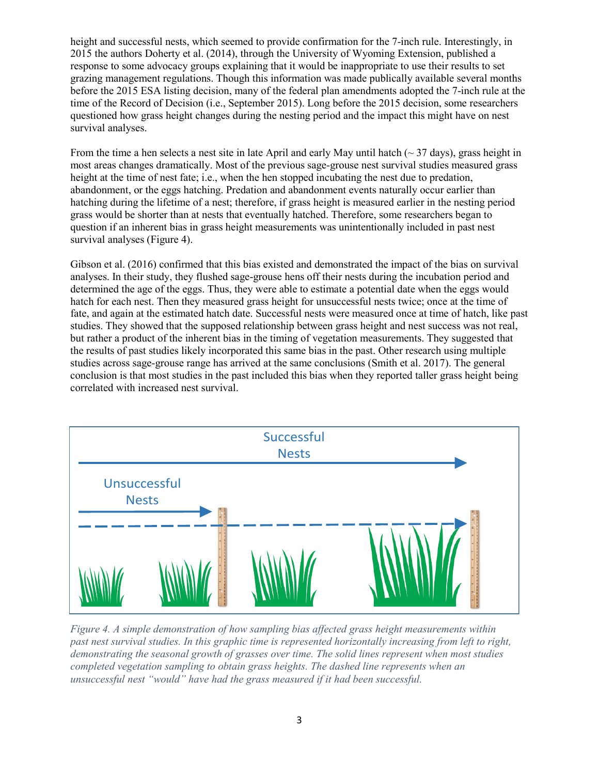height and successful nests, which seemed to provide confirmation for the 7-inch rule. Interestingly, in 2015 the authors Doherty et al. (2014), through the University of Wyoming Extension, published a response to some advocacy groups explaining that it would be inappropriate to use their results to set grazing management regulations. Though this information was made publically available several months before the 2015 ESA listing decision, many of the federal plan amendments adopted the 7-inch rule at the time of the Record of Decision (i.e., September 2015). Long before the 2015 decision, some researchers questioned how grass height changes during the nesting period and the impact this might have on nest survival analyses.

From the time a hen selects a nest site in late April and early May until hatch ( $\sim$  37 days), grass height in most areas changes dramatically. Most of the previous sage-grouse nest survival studies measured grass height at the time of nest fate; i.e., when the hen stopped incubating the nest due to predation, abandonment, or the eggs hatching. Predation and abandonment events naturally occur earlier than hatching during the lifetime of a nest; therefore, if grass height is measured earlier in the nesting period grass would be shorter than at nests that eventually hatched. Therefore, some researchers began to question if an inherent bias in grass height measurements was unintentionally included in past nest survival analyses (Figure 4).

Gibson et al. (2016) confirmed that this bias existed and demonstrated the impact of the bias on survival analyses. In their study, they flushed sage-grouse hens off their nests during the incubation period and determined the age of the eggs. Thus, they were able to estimate a potential date when the eggs would hatch for each nest. Then they measured grass height for unsuccessful nests twice; once at the time of fate, and again at the estimated hatch date. Successful nests were measured once at time of hatch, like past studies. They showed that the supposed relationship between grass height and nest success was not real, but rather a product of the inherent bias in the timing of vegetation measurements. They suggested that the results of past studies likely incorporated this same bias in the past. Other research using multiple studies across sage-grouse range has arrived at the same conclusions (Smith et al. 2017). The general conclusion is that most studies in the past included this bias when they reported taller grass height being correlated with increased nest survival.



*Figure 4. A simple demonstration of how sampling bias affected grass height measurements within past nest survival studies. In this graphic time is represented horizontally increasing from left to right, demonstrating the seasonal growth of grasses over time. The solid lines represent when most studies completed vegetation sampling to obtain grass heights. The dashed line represents when an unsuccessful nest "would" have had the grass measured if it had been successful.*